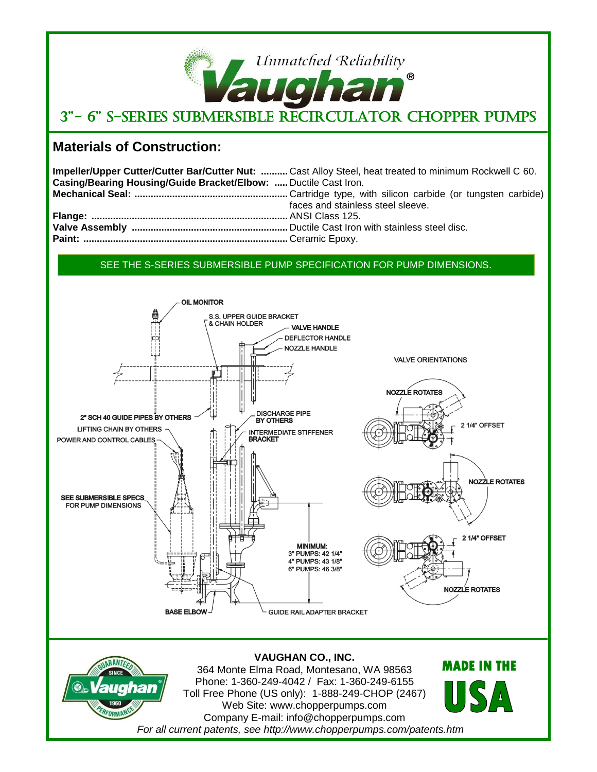# Unmatched Reliability  $^{\circledR}$ **TOTA** 3"- 6" S-Series Submersible Recirculator Chopper Pumps

## **Materials of Construction:**

|                                                                 | Impeller/Upper Cutter/Cutter Bar/Cutter Nut:  Cast Alloy Steel, heat treated to minimum Rockwell C 60. |
|-----------------------------------------------------------------|--------------------------------------------------------------------------------------------------------|
| Casing/Bearing Housing/Guide Bracket/Elbow:  Ductile Cast Iron. |                                                                                                        |
|                                                                 |                                                                                                        |
|                                                                 | faces and stainless steel sleeve.                                                                      |
|                                                                 |                                                                                                        |
|                                                                 |                                                                                                        |
|                                                                 |                                                                                                        |

### SEE THE S-SERIES SUBMERSIBLE PUMP SPECIFICATION FOR PUMP DIMENSIONS.